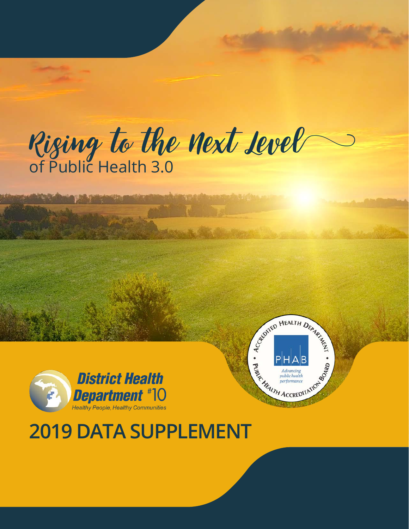Rising to the Next Level $\bigcup$ of Public Health 3.0





## **2019 DATA SUPPLEMENT**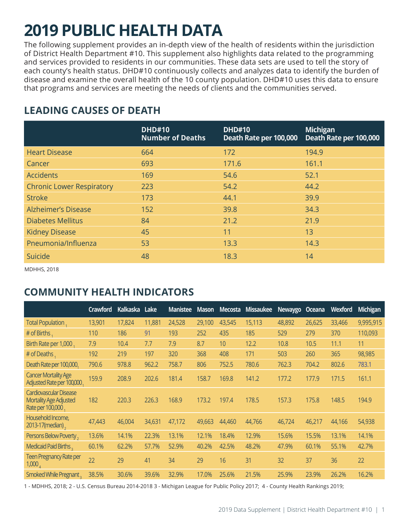## **2019 PUBLIC HEALTH DATA**

The following supplement provides an in-depth view of the health of residents within the jurisdiction of District Health Department #10. This supplement also highlights data related to the programming and services provided to residents in our communities. These data sets are used to tell the story of each county's health status. DHD#10 continuously collects and analyzes data to identify the burden of disease and examine the overall health of the 10 county population. DHD#10 uses this data to ensure that programs and services are meeting the needs of clients and the communities served.

### **LEADING CAUSES OF DEATH**

|                                  | <b>DHD#10</b><br><b>Number of Deaths</b> | <b>DHD#10</b><br>Death Rate per 100,000 | <b>Michigan</b><br>Death Rate per 100,000 |
|----------------------------------|------------------------------------------|-----------------------------------------|-------------------------------------------|
| <b>Heart Disease</b>             | 664                                      | 172                                     | 194.9                                     |
| Cancer                           | 693                                      | 171.6                                   | 161.1                                     |
| <b>Accidents</b>                 | 169                                      | 54.6                                    | 52.1                                      |
| <b>Chronic Lower Respiratory</b> | 223                                      | 54.2                                    | 44.2                                      |
| <b>Stroke</b>                    | 173                                      | 44.1                                    | 39.9                                      |
| <b>Alzheimer's Disease</b>       | 152                                      | 39.8                                    | 34.3                                      |
| <b>Diabetes Mellitus</b>         | 84                                       | 21.2                                    | 21.9                                      |
| <b>Kidney Disease</b>            | 45                                       | 11                                      | 13                                        |
| Pneumonia/Influenza              | 53                                       | 13.3                                    | 14.3                                      |
| Suicide                          | 48                                       | 18.3                                    | 14                                        |

MDHHS, 2018

#### **COMMUNITY HEALTH INDICATORS**

|                                                                              | Crawford | <b>Kalkaska</b> | Lake   | <b>Manistee</b> | <b>Mason</b> | Mecosta | <b>Missaukee</b> | <b>Newaygo</b> | <b>Oceana</b> | <b>Wexford</b> | <b>Michigan</b> |
|------------------------------------------------------------------------------|----------|-----------------|--------|-----------------|--------------|---------|------------------|----------------|---------------|----------------|-----------------|
| Total Population,                                                            | 13,901   | 17,824          | 11,881 | 24,528          | 29,100       | 43,545  | 15,113           | 48,892         | 26,625        | 33,466         | 9,995,915       |
| # of Births                                                                  | 110      | 186             | 91     | 193             | 252          | 435     | 185              | 529            | 279           | 370            | 110,093         |
| Birth Rate per 1,000,                                                        | 7.9      | 10.4            | 7.7    | 7.9             | 8.7          | 10      | 12.2             | 10.8           | 10.5          | 11.1           | 11              |
| # of Deaths,                                                                 | 192      | 219             | 197    | 320             | 368          | 408     | 171              | 503            | 260           | 365            | 98,985          |
| Death Rate per 100,000,                                                      | 790.6    | 978.8           | 962.2  | 758.7           | 806          | 752.5   | 780.6            | 762.3          | 704.2         | 802.6          | 783.1           |
| <b>Cancer Mortality Age</b><br>Adjusted Rate per 100,000,                    | 159.9    | 208.9           | 202.6  | 181.4           | 158.7        | 169.8   | 141.2            | 177.2          | 177.9         | 171.5          | 161.1           |
| Cardiovascular Disease<br><b>Mortality Age Adjusted</b><br>Rate per 100,000, | 182      | 220.3           | 226.3  | 168.9           | 173.2        | 197.4   | 178.5            | 157.3          | 175.8         | 148.5          | 194.9           |
| Household Income,<br>$2013-17$ (median),                                     | 47,443   | 46,004          | 34,631 | 47,172          | 49,663       | 44,460  | 44,766           | 46,724         | 46,217        | 44,166         | 54,938          |
| Persons Below Poverty,                                                       | 13.6%    | 14.1%           | 22.3%  | 13.1%           | 12.1%        | 18.4%   | 12.9%            | 15.6%          | 15.5%         | 13.1%          | 14.1%           |
| Medicaid Paid Births,                                                        | 60.1%    | 62.2%           | 57.7%  | 52.9%           | 40.2%        | 42.5%   | 48.2%            | 47.9%          | 60.1%         | 55.1%          | 42.7%           |
| <b>Teen Pregnancy Rate per</b><br>$1,000_A$                                  | 22       | 29              | 41     | 34              | 29           | 16      | 31               | 32             | 37            | 36             | 22              |
| Smoked While Pregnant,                                                       | 38.5%    | 30.6%           | 39.6%  | 32.9%           | 17.0%        | 25.6%   | 21.5%            | 25.9%          | 23.9%         | 26.2%          | 16.2%           |

1 - MDHHS, 2018; 2 - U.S. Census Bureau 2014-2018 3 - Michigan League for Public Policy 2017; 4 - County Health Rankings 2019;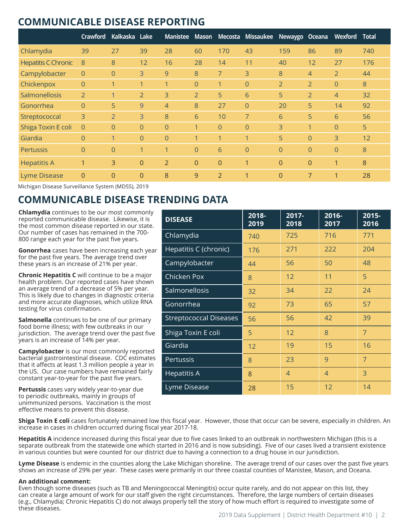#### **COMMUNICABLE DISEASE REPORTING**

|                            | <b>Crawford</b> | Kalkaska Lake  |                | <b>Manistee</b> | Mason          |                | Mecosta Missaukee Newaygo Oceana |                |                | Wexford        | Total |
|----------------------------|-----------------|----------------|----------------|-----------------|----------------|----------------|----------------------------------|----------------|----------------|----------------|-------|
| Chlamydia                  | 39              | 27             | 39             | 28              | 60             | 170            | 43                               | 159            | 86             | 89             | 740   |
| <b>Hepatitis C Chronic</b> | 8               | 8              | 12             | 16              | 28             | 14             | 11                               | 40             | 12             | 27             | 176   |
| Campylobacter              | $\overline{0}$  | $\overline{0}$ | $\overline{3}$ | 9               | 8              | 7              | 3                                | 8              | $\overline{4}$ | $\overline{2}$ | 44    |
| Chickenpox                 | $\mathbf 0$     | $\mathbf{1}$   | $\mathbf{1}$   | $\overline{1}$  | $\overline{0}$ | 1              | $\Omega$                         | $\overline{2}$ | $\overline{2}$ | $\overline{0}$ | 8     |
| Salmonellosis              | $\overline{2}$  | $\mathbf{1}$   | $\overline{2}$ | 3               | $\overline{2}$ | 5              | 6                                | 5              | $\overline{2}$ | $\overline{4}$ | 32    |
| Gonorrhea                  | $\overline{0}$  | 5              | 9              | $\overline{4}$  | 8              | 27             | $\overline{0}$                   | 20             | 5              | 14             | 92    |
| Streptococcal              | 3               | $\overline{2}$ | 3              | 8               | 6              | 10             | $\overline{7}$                   | 6              | 5              | 6              | 56    |
| Shiga Toxin E coli         | $\overline{0}$  | $\overline{0}$ | $\overline{0}$ | $\overline{0}$  | $\mathbf{1}$   | $\overline{0}$ | $\overline{0}$                   | 3              | $\overline{1}$ | $\overline{0}$ | 5     |
| Giardia                    | $\Omega$        | $\mathbf{1}$   | $\Omega$       | $\overline{0}$  | $\mathbf{1}$   | $\mathbf{1}$   | 1                                | 5              | $\Omega$       | 3              | 12    |
| <b>Pertussis</b>           | $\Omega$        | $\overline{0}$ | $\mathbf 1$    | $\mathbf 1$     | $\overline{0}$ | 6              | $\overline{0}$                   | $\overline{0}$ | $\Omega$       | $\overline{0}$ | 8     |
| <b>Hepatitis A</b>         | 1               | 3              | $\overline{0}$ | 2               | $\overline{0}$ | $\overline{0}$ | 1                                | $\Omega$       | $\overline{0}$ | $\mathbf 1$    | 8     |
| <b>Lyme Disease</b>        | $\overline{0}$  | $\overline{0}$ | $\overline{0}$ | 8               | 9              | $\overline{2}$ | $\overline{ }$                   | $\overline{0}$ | 7              | 1              | 28    |

Michigan Disease Surveillance System (MDSS), 2019

#### **COMMUNICABLE DISEASE TRENDING DATA**

**Chlamydia** continues to be our most commonly reported communicable disease. Likewise, it is the most common disease reported in our state. Our number of cases has remained in the 700- 800 range each year for the past five years.

**Gonorrhea** cases have been increasing each year for the past five years. The average trend over these years is an increase of 21% per year.

**Chronic Hepatitis C** will continue to be a major health problem. Our reported cases have shown an average trend of a decrease of 5% per year. This is likely due to changes in diagnostic criteria and more accurate diagnoses, which utilize RNA testing for virus confirmation.

**Salmonella** continues to be one of our primary food borne illness; with few outbreaks in our jurisdiction. The average trend over the past five years is an increase of 14% per year.

**Campylobacter** is our most commonly reported bacterial gastrointestinal disease. CDC estimates that it affects at least 1.3 million people a year in the US. Our case numbers have remained fairly constant year-to-year for the past five years.

**Pertussis** cases vary widely year-to-year due to periodic outbreaks, mainly in groups of unimmunized persons. Vaccination is the most effective means to prevent this disease.

| <b>DISEASE</b>                | 2018-<br>2019 | 2017-<br>2018  | 2016-<br>2017  | 2015-<br>2016  |
|-------------------------------|---------------|----------------|----------------|----------------|
| Chlamydia                     | 740           | 725            | 716            | 771            |
| Hepatitis C (chronic)         | 176           | 271            | 222            | 204            |
| Campylobacter                 | 44            | 56             | 50             | 48             |
| Chicken Pox                   | 8             | 12             | 11             | 5              |
| <b>Salmonellosis</b>          | 32            | 34             | 22             | 24             |
| Gonorrhea                     | 92            | 73             | 65             | 57             |
| <b>Streptococcal Diseases</b> | 56            | 56             | 42             | 39             |
| Shiga Toxin E coli            | 5             | 12             | 8              | $\overline{7}$ |
| Giardia                       | 12            | 19             | 15             | 16             |
| <b>Pertussis</b>              | 8             | 23             | 9              | $\overline{7}$ |
| <b>Hepatitis A</b>            | 8             | $\overline{4}$ | $\overline{4}$ | 3              |
| Lyme Disease                  | 28            | 15             | 12             | 14             |

**Shiga Toxin E coli** cases fortunately remained low this fiscal year. However, those that occur can be severe, especially in children. An increase in cases in children occurred during fiscal year 2017-18.

**Hepatitis A** incidence increased during this fiscal year due to five cases linked to an outbreak in northwestern Michigan (this is a separate outbreak from the statewide one which started in 2016 and is now subsiding). Five of our cases lived a transient existence in various counties but were counted for our district due to having a connection to a drug house in our jurisdiction.

**Lyme Disease** is endemic in the counties along the Lake Michigan shoreline. The average trend of our cases over the past five years shows an increase of 29% per year. These cases were primarily in our three coastal counties of Manistee, Mason, and Oceana.

#### **An additional comment:**

Even though some diseases (such as TB and Meningococcal Meningitis) occur quite rarely, and do not appear on this list, they can create a large amount of work for our staff given the right circumstances. Therefore, the large numbers of certain diseases (e.g., Chlamydia; Chronic Hepatitis C) do not always properly tell the story of how much effort is required to investigate some of these diseases.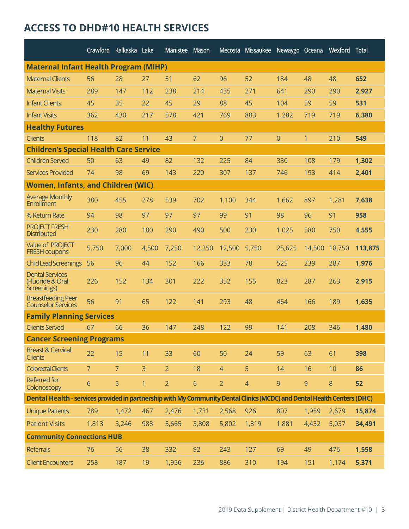#### **ACCESS TO DHD#10 HEALTH SERVICES**

|                                                                                                                          | Crawford       | Kalkaska Lake  |                | Manistee       | <b>Mason</b>   |                | Mecosta Missaukee | Newaygo Oceana |                | Wexford          | Total   |
|--------------------------------------------------------------------------------------------------------------------------|----------------|----------------|----------------|----------------|----------------|----------------|-------------------|----------------|----------------|------------------|---------|
| <b>Maternal Infant Health Program (MIHP)</b>                                                                             |                |                |                |                |                |                |                   |                |                |                  |         |
| <b>Maternal Clients</b>                                                                                                  | 56             | 28             | 27             | 51             | 62             | 96             | 52                | 184            | 48             | 48               | 652     |
| <b>Maternal Visits</b>                                                                                                   | 289            | 147            | 112            | 238            | 214            | 435            | 271               | 641            | 290            | 290              | 2,927   |
| <b>Infant Clients</b>                                                                                                    | 45             | 35             | 22             | 45             | 29             | 88             | 45                | 104            | 59             | 59               | 531     |
| <b>Infant Visits</b>                                                                                                     | 362            | 430            | 217            | 578            | 421            | 769            | 883               | 1,282          | 719            | 719              | 6,380   |
| <b>Healthy Futures</b>                                                                                                   |                |                |                |                |                |                |                   |                |                |                  |         |
| <b>Clients</b>                                                                                                           | 118            | 82             | 11             | 43             | $\overline{7}$ | $\overline{0}$ | 77                | $\theta$       | 1              | 210              | 549     |
| <b>Children's Special Health Care Service</b>                                                                            |                |                |                |                |                |                |                   |                |                |                  |         |
| <b>Children Served</b>                                                                                                   | 50             | 63             | 49             | 82             | 132            | 225            | 84                | 330            | 108            | 179              | 1,302   |
| <b>Services Provided</b>                                                                                                 | 74             | 98             | 69             | 143            | 220            | 307            | 137               | 746            | 193            | 414              | 2,401   |
| <b>Women, Infants, and Children (WIC)</b>                                                                                |                |                |                |                |                |                |                   |                |                |                  |         |
| <b>Average Monthly</b><br>Enrollment                                                                                     | 380            | 455            | 278            | 539            | 702            | 1,100          | 344               | 1,662          | 897            | 1,281            | 7,638   |
| % Return Rate                                                                                                            | 94             | 98             | 97             | 97             | 97             | 99             | 91                | 98             | 96             | 91               | 958     |
| <b>PROJECT FRESH</b><br><b>Distributed</b>                                                                               | 230            | 280            | 180            | 290            | 490            | 500            | 230               | 1,025          | 580            | 750              | 4,555   |
| Value of PROJECT<br><b>FRESH coupons</b>                                                                                 | 5,750          | 7,000          | 4,500          | 7,250          | 12,250         | 12,500         | 5,750             | 25,625         | 14,500         | 18,750           | 113,875 |
| <b>Child Lead Screenings</b>                                                                                             | 56             | 96             | 44             | 152            | 166            | 333            | 78                | 525            | 239            | 287              | 1,976   |
| <b>Dental Services</b><br>(Fluoride & Oral<br>Screenings)                                                                | 226            | 152            | 134            | 301            | 222            | 352            | 155               | 823            | 287            | 263              | 2,915   |
| <b>Breastfeeding Peer</b><br><b>Counselor Services</b>                                                                   | 56             | 91             | 65             | 122            | 141            | 293            | 48                | 464            | 166            | 189              | 1,635   |
| <b>Family Planning Services</b>                                                                                          |                |                |                |                |                |                |                   |                |                |                  |         |
| <b>Clients Served</b>                                                                                                    | 67             | 66             | 36             | 147            | 248            | 122            | 99                | 141            | 208            | 346              | 1,480   |
| <b>Cancer Screening Programs</b>                                                                                         |                |                |                |                |                |                |                   |                |                |                  |         |
| <b>Breast &amp; Cervical</b><br><b>Clients</b>                                                                           | 22             | 15             | 11             | 33             | 60             | 50             | 24                | 59             | 63             | 61               | 398     |
| <b>Colorectal Clients</b>                                                                                                | $\overline{7}$ | $\overline{7}$ | $\overline{3}$ | $\overline{2}$ | 18             | $\overline{4}$ | 5                 | 14             | 16             | 10               | 86      |
| Referred for<br>Colonoscopy                                                                                              | $\overline{6}$ | 5              | $\mathbf{1}$   | $\overline{2}$ | $6\phantom{1}$ | $\overline{2}$ | $\overline{4}$    | 9              | $\overline{9}$ | $\boldsymbol{8}$ | 52      |
| Dental Health - services provided in partnership with My Community Dental Clinics (MCDC) and Dental Health Centers (DHC) |                |                |                |                |                |                |                   |                |                |                  |         |
| <b>Unique Patients</b>                                                                                                   | 789            | 1,472          | 467            | 2,476          | 1,731          | 2,568          | 926               | 807            | 1,959          | 2,679            | 15,874  |
| <b>Patient Visits</b>                                                                                                    | 1,813          | 3,246          | 988            | 5,665          | 3,808          | 5,802          | 1,819             | 1,881          | 4,432          | 5,037            | 34,491  |
| <b>Community Connections HUB</b>                                                                                         |                |                |                |                |                |                |                   |                |                |                  |         |
| <b>Referrals</b>                                                                                                         | 76             | 56             | 38             | 332            | 92             | 243            | 127               | 69             | 49             | 476              | 1,558   |
| <b>Client Encounters</b>                                                                                                 | 258            | 187            | 19             | 1,956          | 236            | 886            | 310               | 194            | 151            | 1,174            | 5,371   |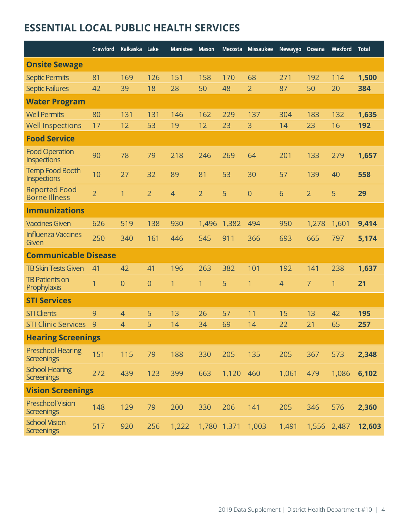#### **ESSENTIAL LOCAL PUBLIC HEALTH SERVICES**

|                                               | <b>Crawford</b> | Kalkaska       | Lake           | <b>Manistee</b> | <b>Mason</b>   | Mecosta | <b>Missaukee</b> | Newaygo Oceana |                | Wexford | <b>Total</b> |
|-----------------------------------------------|-----------------|----------------|----------------|-----------------|----------------|---------|------------------|----------------|----------------|---------|--------------|
| <b>Onsite Sewage</b>                          |                 |                |                |                 |                |         |                  |                |                |         |              |
| <b>Septic Permits</b>                         | 81              | 169            | 126            | 151             | 158            | 170     | 68               | 271            | 192            | 114     | 1,500        |
| <b>Septic Failures</b>                        | 42              | 39             | 18             | 28              | 50             | 48      | $\overline{2}$   | 87             | 50             | 20      | 384          |
| <b>Water Program</b>                          |                 |                |                |                 |                |         |                  |                |                |         |              |
| <b>Well Permits</b>                           | 80              | 131            | 131            | 146             | 162            | 229     | 137              | 304            | 183            | 132     | 1,635        |
| <b>Well Inspections</b>                       | 17              | 12             | 53             | 19              | 12             | 23      | 3                | 14             | 23             | 16      | 192          |
| <b>Food Service</b>                           |                 |                |                |                 |                |         |                  |                |                |         |              |
| <b>Food Operation</b><br><b>Inspections</b>   | 90              | 78             | 79             | 218             | 246            | 269     | 64               | 201            | 133            | 279     | 1,657        |
| <b>Temp Food Booth</b><br><b>Inspections</b>  | 10              | 27             | 32             | 89              | 81             | 53      | 30               | 57             | 139            | 40      | 558          |
| <b>Reported Food</b><br><b>Borne Illness</b>  | $\overline{2}$  | 1              | $\overline{2}$ | $\overline{4}$  | $\overline{2}$ | 5       | $\mathbf 0$      | 6              | $\overline{2}$ | 5       | 29           |
| <b>Immunizations</b>                          |                 |                |                |                 |                |         |                  |                |                |         |              |
| <b>Vaccines Given</b>                         | 626             | 519            | 138            | 930             | 1,496          | 1,382   | 494              | 950            | 1,278          | 1,601   | 9,414        |
| <b>Influenza Vaccines</b><br>Given            | 250             | 340            | 161            | 446             | 545            | 911     | 366              | 693            | 665            | 797     | 5,174        |
| <b>Communicable Disease</b>                   |                 |                |                |                 |                |         |                  |                |                |         |              |
| <b>TB Skin Tests Given</b>                    | 41              | 42             | 41             | 196             | 263            | 382     | 101              | 192            | 141            | 238     | 1,637        |
| <b>TB Patients on</b><br>Prophylaxis          | $\overline{1}$  | $\overline{0}$ | $\overline{0}$ | 1               | 1              | 5       | 1                | $\overline{4}$ | 7              | 1       | 21           |
| <b>STI Services</b>                           |                 |                |                |                 |                |         |                  |                |                |         |              |
| <b>STI Clients</b>                            | 9               | 4              | 5              | 13              | 26             | 57      | 11               | 15             | 13             | 42      | 195          |
| <b>STI Clinic Services</b>                    | 9               | $\overline{4}$ | 5              | 14              | 34             | 69      | 14               | 22             | 21             | 65      | 257          |
| <b>Hearing Screenings</b>                     |                 |                |                |                 |                |         |                  |                |                |         |              |
| <b>Preschool Hearing</b><br><b>Screenings</b> | 151             | 115            | 79             | 188             | 330            | 205     | 135              | 205            | 367            | 573     | 2,348        |
| <b>School Hearing</b><br><b>Screenings</b>    | 272             | 439            | 123            | 399             | 663            | 1,120   | 460              | 1,061          | 479            | 1,086   | 6,102        |
| <b>Vision Screenings</b>                      |                 |                |                |                 |                |         |                  |                |                |         |              |
| <b>Preschool Vision</b><br><b>Screenings</b>  | 148             | 129            | 79             | 200             | 330            | 206     | 141              | 205            | 346            | 576     | 2,360        |
| <b>School Vision</b><br><b>Screenings</b>     | 517             | 920            | 256            | 1,222           | 1,780 1,371    |         | 1,003            | 1,491          | 1,556          | 2,487   | 12,603       |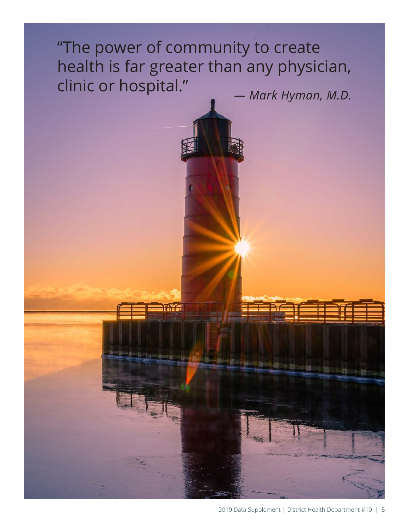# "The power of community to create health is far greater than any physician, clinic or hospital." *— Mark Hyman, M.D.*

2019 Data Supplement | District Health Department #10 | 5

100 070 000 00

地地地地地地

 $, 01$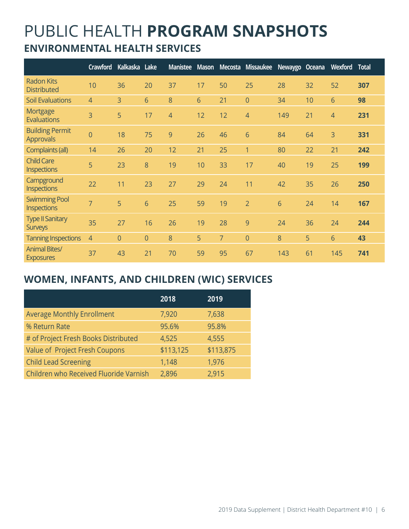## **ENVIRONMENTAL HEALTH SERVICES** PUBLIC HEALTH **PROGRAM SNAPSHOTS**

|                                            | <b>Crawford</b> | Kalkaska Lake  |                | <b>Manistee</b> | <b>Mason</b> |                | Mecosta Missaukee | <b>Newaygo</b>  | <b>Oceana</b> | Wexford        | <b>Total</b> |
|--------------------------------------------|-----------------|----------------|----------------|-----------------|--------------|----------------|-------------------|-----------------|---------------|----------------|--------------|
| <b>Radon Kits</b><br><b>Distributed</b>    | 10              | 36             | 20             | 37              | 17           | 50             | 25                | 28              | 32            | 52             | 307          |
| <b>Soil Evaluations</b>                    | $\overline{4}$  | $\overline{3}$ | 6              | 8               | 6            | 21             | $\overline{0}$    | 34              | 10            | 6              | 98           |
| Mortgage<br><b>Evaluations</b>             | 3               | 5              | 17             | $\overline{4}$  | 12           | 12             | 4                 | 149             | 21            | $\overline{4}$ | 231          |
| <b>Building Permit</b><br><b>Approvals</b> | $\overline{0}$  | 18             | 75             | 9               | 26           | 46             | 6                 | 84              | 64            | 3              | 331          |
| Complaints (all)                           | 14              | 26             | 20             | 12              | 21           | 25             | 1                 | 80              | 22            | 21             | 242          |
| <b>Child Care</b><br>Inspections           | 5               | 23             | 8              | 19              | 10           | 33             | 17                | 40              | 19            | 25             | 199          |
| Campground<br>Inspections                  | 22              | 11             | 23             | 27              | 29           | 24             | 11                | 42              | 35            | 26             | 250          |
| <b>Swimming Pool</b><br><b>Inspections</b> | $\overline{7}$  | 5              | 6              | 25              | 59           | 19             | $\overline{2}$    | $6\phantom{1}6$ | 24            | 14             | 167          |
| <b>Type II Sanitary</b><br><b>Surveys</b>  | 35              | 27             | 16             | 26              | 19           | 28             | 9                 | 24              | 36            | 24             | 244          |
| <b>Tanning Inspections</b>                 | $\overline{4}$  | $\overline{0}$ | $\overline{0}$ | 8               | 5            | $\overline{7}$ | $\overline{0}$    | 8               | 5             | $6\phantom{a}$ | 43           |
| <b>Animal Bites/</b><br><b>Exposures</b>   | 37              | 43             | 21             | 70              | 59           | 95             | 67                | 143             | 61            | 145            | 741          |

#### **WOMEN, INFANTS, AND CHILDREN (WIC) SERVICES**

|                                        | 2018      | 2019      |
|----------------------------------------|-----------|-----------|
| <b>Average Monthly Enrollment</b>      | 7,920     | 7,638     |
| % Return Rate                          | 95.6%     | 95.8%     |
| # of Project Fresh Books Distributed   | 4,525     | 4,555     |
| Value of Project Fresh Coupons         | \$113,125 | \$113,875 |
| <b>Child Lead Screening</b>            | 1,148     | 1,976     |
| Children who Received Fluoride Varnish | 2,896     | 2,915     |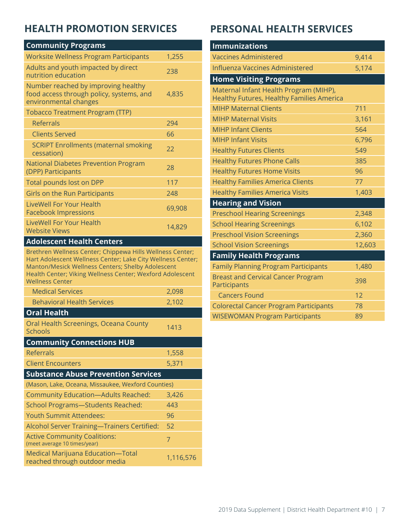#### **HEALTH PROMOTION SERVICES PERSONAL HEALTH SERVICES**

| <b>Community Programs</b>                                                                                                                                                                                                                                            |                |
|----------------------------------------------------------------------------------------------------------------------------------------------------------------------------------------------------------------------------------------------------------------------|----------------|
| <b>Worksite Wellness Program Participants</b>                                                                                                                                                                                                                        | 1,255          |
| Adults and youth impacted by direct<br>nutrition education                                                                                                                                                                                                           | 238            |
| Number reached by improving healthy<br>food access through policy, systems, and<br>environmental changes                                                                                                                                                             | 4,835          |
| <b>Tobacco Treatment Program (TTP)</b>                                                                                                                                                                                                                               |                |
| <b>Referrals</b>                                                                                                                                                                                                                                                     | 294            |
| <b>Clients Served</b>                                                                                                                                                                                                                                                | 66             |
| <b>SCRIPT Enrollments (maternal smoking</b><br>cessation)                                                                                                                                                                                                            | 22             |
| <b>National Diabetes Prevention Program</b><br>(DPP) Participants                                                                                                                                                                                                    | 28             |
| <b>Total pounds lost on DPP</b>                                                                                                                                                                                                                                      | 117            |
| Girls on the Run Participants                                                                                                                                                                                                                                        | 248            |
| LiveWell For Your Health<br><b>Facebook Impressions</b>                                                                                                                                                                                                              | 69,908         |
| <b>LiveWell For Your Health</b><br><b>Website Views</b>                                                                                                                                                                                                              | 14,829         |
| <b>Adolescent Health Centers</b>                                                                                                                                                                                                                                     |                |
|                                                                                                                                                                                                                                                                      |                |
| Brethren Wellness Center; Chippewa Hills Wellness Center;<br>Hart Adolescent Wellness Center; Lake City Wellness Center;<br>Manton/Mesick Wellness Centers; Shelby Adolescent<br>Health Center; Viking Wellness Center; Wexford Adolescent<br><b>Wellness Center</b> |                |
| <b>Medical Services</b>                                                                                                                                                                                                                                              | 2,098          |
| <b>Behavioral Health Services</b>                                                                                                                                                                                                                                    | 2,102          |
| <b>Oral Health</b>                                                                                                                                                                                                                                                   |                |
| Oral Health Screenings, Oceana County<br><b>Schools</b>                                                                                                                                                                                                              | 1413           |
|                                                                                                                                                                                                                                                                      |                |
| <b>Community Connections HUB</b><br><b>Referrals</b>                                                                                                                                                                                                                 | 1,558          |
| <b>Client Encounters</b>                                                                                                                                                                                                                                             | 5,371          |
| <b>Substance Abuse Prevention Services</b>                                                                                                                                                                                                                           |                |
| (Mason, Lake, Oceana, Missaukee, Wexford Counties)                                                                                                                                                                                                                   |                |
| <b>Community Education-Adults Reached:</b>                                                                                                                                                                                                                           | 3,426          |
| <b>School Programs-Students Reached:</b>                                                                                                                                                                                                                             | 443            |
| <b>Youth Summit Attendees:</b>                                                                                                                                                                                                                                       | 96             |
| Alcohol Server Training-Trainers Certified:                                                                                                                                                                                                                          | 52             |
| <b>Active Community Coalitions:</b><br>(meet average 10 times/year)                                                                                                                                                                                                  | $\overline{7}$ |

Medical Marijuana Education—Total reached through outdoor media 1,116,576

| <b>Immunizations</b>                                                                |        |
|-------------------------------------------------------------------------------------|--------|
| <b>Vaccines Administered</b>                                                        | 9,414  |
| <b>Influenza Vaccines Administered</b>                                              | 5,174  |
| <b>Home Visiting Programs</b>                                                       |        |
| Maternal Infant Health Program (MIHP),<br>Healthy Futures, Healthy Families America |        |
| <b>MIHP Maternal Clients</b>                                                        | 711    |
| <b>MIHP Maternal Visits</b>                                                         | 3,161  |
| <b>MIHP Infant Clients</b>                                                          | 564    |
| <b>MIHP Infant Visits</b>                                                           | 6,796  |
| <b>Healthy Futures Clients</b>                                                      | 549    |
| <b>Healthy Futures Phone Calls</b>                                                  | 385    |
| <b>Healthy Futures Home Visits</b>                                                  | 96     |
| <b>Healthy Families America Clients</b>                                             | 77     |
| <b>Healthy Families America Visits</b>                                              | 1,403  |
| <b>Hearing and Vision</b>                                                           |        |
| <b>Preschool Hearing Screenings</b>                                                 | 2,348  |
| <b>School Hearing Screenings</b>                                                    | 6,102  |
| <b>Preschool Vision Screenings</b>                                                  | 2,360  |
| <b>School Vision Screenings</b>                                                     | 12,603 |
| <b>Family Health Programs</b>                                                       |        |
| <b>Family Planning Program Participants</b>                                         | 1,480  |
| <b>Breast and Cervical Cancer Program</b><br>Participants                           | 398    |
| <b>Cancers Found</b>                                                                | 12     |
| <b>Colorectal Cancer Program Participants</b>                                       | 78     |
| <b>WISEWOMAN Program Participants</b>                                               | 89     |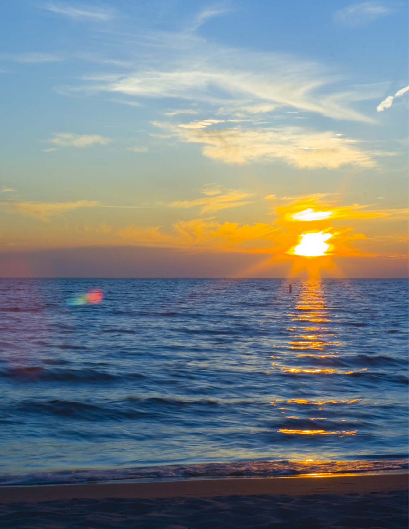